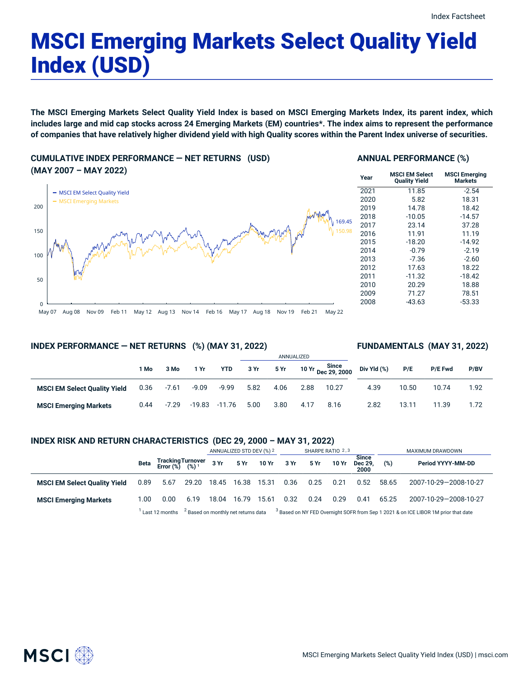# MSCI Emerging Markets Select Quality Yield Index (USD)

The MSCI Emerging Markets Select Quality Yield Index is based on MSCI Emerging Markets Index, its parent index, which includes large and mid cap stocks across 24 Emerging Markets (EM) countries\*. The index aims to represent the performance of companies that have relatively higher dividend yield with high Quality scores within the Parent Index universe of securities.

**CUMULATIVE INDEX PERFORMANCE — NET RETURNS (USD) (MAY 2007 – MAY 2022)**



#### **ANNUAL PERFORMANCE (%)**

| Year | <b>MSCI EM Select</b><br><b>Quality Yield</b> | <b>MSCI Emerging</b><br>Markets |
|------|-----------------------------------------------|---------------------------------|
| 2021 | 11.85                                         | $-2.54$                         |
| 2020 | 5.82                                          | 18.31                           |
| 2019 | 14.78                                         | 18.42                           |
| 2018 | $-10.05$                                      | $-14.57$                        |
| 2017 | 23.14                                         | 37.28                           |
| 2016 | 11.91                                         | 11.19                           |
| 2015 | $-18.20$                                      | $-14.92$                        |
| 2014 | $-0.79$                                       | $-2.19$                         |
| 2013 | $-7.36$                                       | $-2.60$                         |
| 2012 | 17.63                                         | 18.22                           |
| 2011 | $-11.32$                                      | $-18.42$                        |
| 2010 | 20.29                                         | 18.88                           |
| 2009 | 71.27                                         | 78.51                           |
| 2008 | -43.63                                        | $-53.33$                        |

2.82 13.11 11.39 1.72

#### **INDEX PERFORMANCE — NET RETURNS (%) (MAY 31, 2022)**

#### ANNUALIZED **1 Mo 3 Mo 1 Yr YTD 3 Yr 5 Yr 10 Yr Since Dec 29, 2000 MSCI EM Select Quality Yield** 0.36 -7.61 -9.09 -9.99 5.82 4.06 2.88 10.27 **FUNDAMENTALS (MAY 31, 2022) Div Yld (%) P/E P/E Fwd P/BV** 4.39 10.50 10.74 1.92

### **INDEX RISK AND RETURN CHARACTERISTICS (DEC 29, 2000 – MAY 31, 2022)**

**MSCI Emerging Markets** 0.44 -7.29 -19.83 -11.76 5.00 3.80 4.17 8.16

|                                     |      |                                                 |                                                | ANNUALIZED STD DEV (%) 2 |       | SHARPE RATIO 2,3 |      |      |       | MAXIMUM DRAWDOWN                |       |                                                                                               |
|-------------------------------------|------|-------------------------------------------------|------------------------------------------------|--------------------------|-------|------------------|------|------|-------|---------------------------------|-------|-----------------------------------------------------------------------------------------------|
|                                     | Beta | Tracking Turnover<br>Error (%) (%) <sup>1</sup> |                                                | 3 Yr                     | 5 Yr  | 10 Yr            | 3 Yr | 5 Yr | 10 Yr | <b>Since</b><br>Dec 29,<br>2000 | (%)   | Period YYYY-MM-DD                                                                             |
| <b>MSCI EM Select Quality Yield</b> | 0.89 | 5.67                                            | 29.20                                          | 18.45                    | 16.38 | 15.31            | 0.36 | 0.25 | 0.21  | 0.52                            | 58.65 | 2007-10-29-2008-10-27                                                                         |
| <b>MSCI Emerging Markets</b>        | 1.00 | 0.00                                            | 6.19                                           | 18.04                    | 16.79 | 15.61            | 0.32 | 0.24 | 0.29  | 0.41                            | 65.25 | 2007-10-29-2008-10-27                                                                         |
|                                     |      | Last 12 months                                  | <sup>2</sup> Based on monthly net returns data |                          |       |                  |      |      |       |                                 |       | <sup>3</sup> Based on NY FED Overnight SOFR from Sep 1 2021 & on ICE LIBOR 1M prior that date |

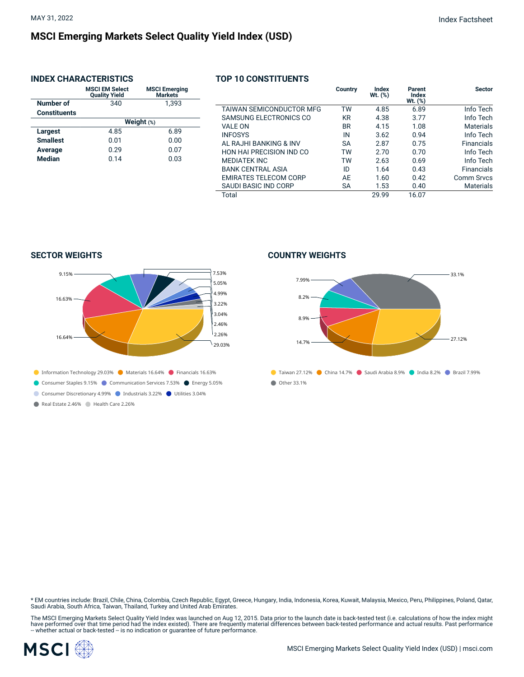## **MSCI Emerging Markets Select Quality Yield Index (USD)**

#### **INDEX CHARACTERISTICS**

|                     | <b>MSCI EM Select</b><br><b>Quality Yield</b> | <b>MSCI Emerging</b><br><b>Markets</b> |  |  |  |
|---------------------|-----------------------------------------------|----------------------------------------|--|--|--|
| Number of           | 340                                           | 1.393                                  |  |  |  |
| <b>Constituents</b> |                                               |                                        |  |  |  |
|                     | Weight $(*)$                                  |                                        |  |  |  |
| Largest             | 4.85                                          | 6.89                                   |  |  |  |
| <b>Smallest</b>     | 0.01                                          | 0.00                                   |  |  |  |
| Average             | 0.29                                          | 0.07                                   |  |  |  |
| <b>Median</b>       | 0.14                                          | 0.03                                   |  |  |  |

#### **TOP 10 CONSTITUENTS**

|                                 | Country   | Index<br>Wt. (%) | Parent<br>Index<br>$Wt.$ $(\%)$ | <b>Sector</b>     |
|---------------------------------|-----------|------------------|---------------------------------|-------------------|
| <b>TAIWAN SEMICONDUCTOR MFG</b> | TW        | 4.85             | 6.89                            | Info Tech         |
| SAMSUNG ELECTRONICS CO          | KR        | 4.38             | 3.77                            | Info Tech         |
| <b>VALE ON</b>                  | <b>BR</b> | 4.15             | 1.08                            | <b>Materials</b>  |
| <b>INFOSYS</b>                  | IN        | 3.62             | 0.94                            | Info Tech         |
| AL RAJHI BANKING & INV          | <b>SA</b> | 2.87             | 0.75                            | <b>Financials</b> |
| <b>HON HAI PRECISION IND CO</b> | TW        | 2.70             | 0.70                            | Info Tech         |
| <b>MEDIATEK INC</b>             | TW        | 2.63             | 0.69                            | Info Tech         |
| <b>BANK CENTRAL ASIA</b>        | ID        | 1.64             | 0.43                            | <b>Financials</b> |
| <b>EMIRATES TELECOM CORP</b>    | AE        | 1.60             | 0.42                            | Comm Srvcs        |
| SAUDI BASIC IND CORP            | <b>SA</b> | 1.53             | 0.40                            | <b>Materials</b>  |
| Total                           |           | 29.99            | 16.07                           |                   |

**SECTOR WEIGHTS**



Real Estate 2.46% Health Care 2.26%

#### **COUNTRY WEIGHTS**



\* EM countries include: Brazil, Chile, China, Colombia, Czech Republic, Egypt, Greece, Hungary, India, Indonesia, Korea, Kuwait, Malaysia, Mexico, Peru, Philippines, Poland, Qatar,<br>Saudi Arabia, South Africa, Taiwan, Thail

The MSCI Emerging Markets Select Quality Yield Index was launched on Aug 12, 2015. Data prior to the launch date is back-tested test (i.e. calculations of how the index might<br>have performed over that time period had the in